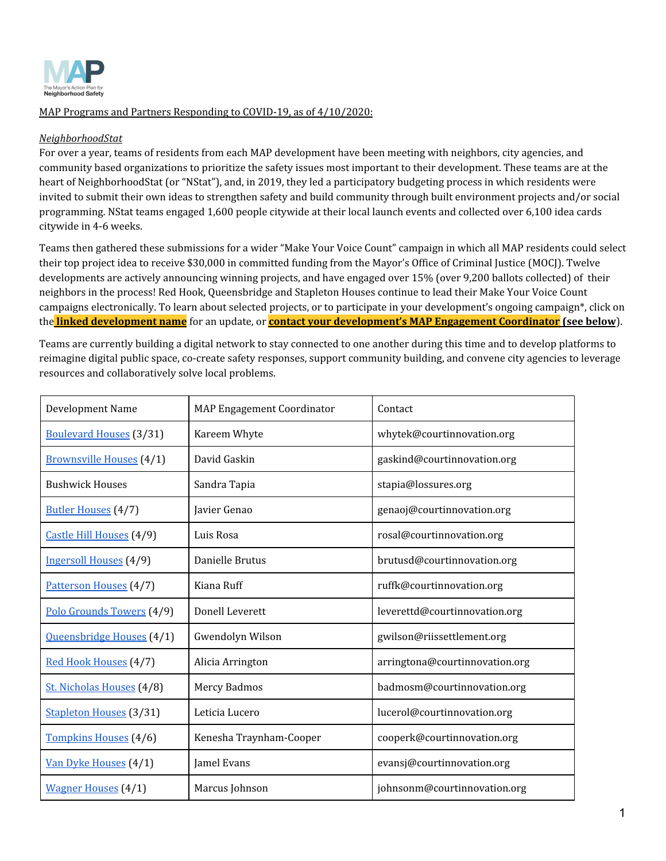

### MAP Programs and Partners Responding to COVID-19, as of 4/10/2020:

### *NeighborhoodStat*

For over a year, teams of residents from each MAP development have been meeting with neighbors, city agencies, and community based organizations to prioritize the safety issues most important to their development. These teams are at the heart of NeighborhoodStat (or "NStat"), and, in 2019, they led a participatory budgeting process in which residents were invited to submit their own ideas to strengthen safety and build community through built environment projects and/or social programming. NStat teams engaged 1,600 people citywide at their local launch events and collected over 6,100 idea cards citywide in 4-6 weeks.

Teams then gathered these submissions for a wider "Make Your Voice Count" campaign in which all MAP residents could select their top project idea to receive \$30,000 in committed funding from the Mayor's Office of Criminal Justice (MOCJ). Twelve developments are actively announcing winning projects, and have engaged over 15% (over 9,200 ballots collected) of their neighbors in the process! Red Hook, Queensbridge and Stapleton Houses continue to lead their Make Your Voice Count campaigns electronically. To learn about selected projects, or to participate in your development's ongoing campaign\*, click on the **linked development name** for an update, or **contact your development's MAP Engagement Coordinator (see below**).

Teams are currently building a digital network to stay connected to one another during this time and to develop platforms to reimagine digital public space, co-create safety responses, support community building, and convene city agencies to leverage resources and collaboratively solve local problems.

| Development Name                | MAP Engagement Coordinator | Contact                        |
|---------------------------------|----------------------------|--------------------------------|
| <b>Boulevard Houses</b> (3/31)  | Kareem Whyte               | whytek@courtinnovation.org     |
| <b>Brownsville Houses</b> (4/1) | David Gaskin               | gaskind@courtinnovation.org    |
| <b>Bushwick Houses</b>          | Sandra Tapia               | stapia@lossures.org            |
| <b>Butler Houses</b> (4/7)      | Javier Genao               | genaoj@courtinnovation.org     |
| Castle Hill Houses (4/9)        | Luis Rosa                  | rosal@courtinnovation.org      |
| Ingersoll Houses (4/9)          | Danielle Brutus            | brutusd@courtinnovation.org    |
| Patterson Houses (4/7)          | Kiana Ruff                 | ruffk@courtinnovation.org      |
| Polo Grounds Towers (4/9)       | Donell Leverett            | leverettd@courtinnovation.org  |
| Queensbridge Houses (4/1)       | Gwendolyn Wilson           | gwilson@riissettlement.org     |
| Red Hook Houses (4/7)           | Alicia Arrington           | arringtona@courtinnovation.org |
| St. Nicholas Houses (4/8)       | Mercy Badmos               | badmosm@courtinnovation.org    |
| Stapleton Houses (3/31)         | Leticia Lucero             | lucerol@courtinnovation.org    |
| Tompkins Houses (4/6)           | Kenesha Traynham-Cooper    | cooperk@courtinnovation.org    |
| Van Dyke Houses (4/1)           | Jamel Evans                | evansj@courtinnovation.org     |
| <b>Wagner Houses</b> (4/1)      | Marcus Johnson             | johnsonm@courtinnovation.org   |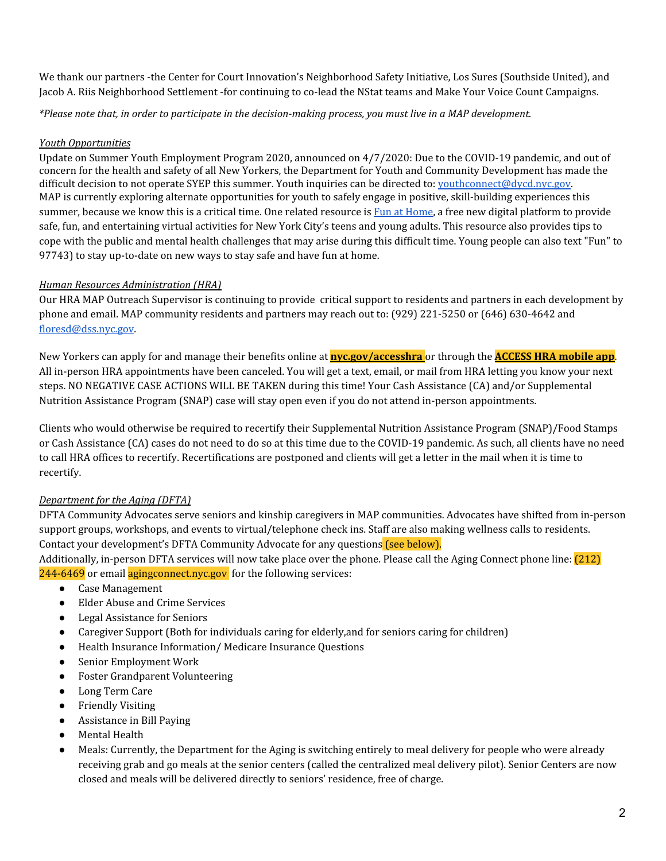We thank our partners -the Center for Court Innovation's Neighborhood Safety Initiative, Los Sures (Southside United), and Jacob A. Riis Neighborhood Settlement -for continuing to co-lead the NStat teams and Make Your Voice Count Campaigns.

\*Please note that, in order to participate in the decision-making process, you must live in a MAP development.

### *Youth Opportunities*

Update on Summer Youth Employment Program 2020, announced on 4/7/2020: Due to the COVID-19 pandemic, and out of concern for the health and safety of all New Yorkers, the Department for Youth and Community Development has made the difficult decision to not operate SYEP this summer. Youth inquiries can be directed to: [youthconnect@dycd.nyc.gov.](mailto:youthconnect@dycd.nyc.gov) MAP is currently exploring alternate opportunities for youth to safely engage in positive, skill-building experiences this summer, because we know this is a critical time. One related resource is Fun at [Home](https://growingupnyc.cityofnewyork.us/generationnyc/fun-at-home/), a free new digital platform to provide safe, fun, and entertaining virtual activities for New York City's teens and young adults. This resource also provides tips to cope with the public and mental health challenges that may arise during this difficult time. Young people can also text "Fun" to 97743) to stay up-to-date on new ways to stay safe and have fun at home.

# *Human Resources Administration (HRA)*

Our HRA MAP Outreach Supervisor is continuing to provide critical support to residents and partners in each development by phone and email. MAP community residents and partners may reach out to: (929) 221-5250 or (646) 630-4642 and [floresd@dss.nyc.gov](https://cityhallmail.nyc.gov/owa/14.3.487.0/scripts/premium/redir.aspx?C=rjXFc52K554uT-jVszw92o4h0NqbL8AYMTluMr3u9MYsBjeTht3XCA..&URL=mailto%3afloresd%40dss.nyc.gov).

New Yorkers can apply for and manage their benefits online at **[nyc.gov/accesshra](http://nyc.gov/accesshra)** or through the **[ACCESS](https://a069-access.nyc.gov/accesshra/) HRA mobile app**. All in-person HRA appointments have been canceled. You will get a text, email, or mail from HRA letting you know your next steps. NO NEGATIVE CASE ACTIONS WILL BE TAKEN during this time! Your Cash Assistance (CA) and/or Supplemental Nutrition Assistance Program (SNAP) case will stay open even if you do not attend in-person appointments.

Clients who would otherwise be required to recertify their Supplemental Nutrition Assistance Program (SNAP)/Food Stamps or Cash Assistance (CA) cases do not need to do so at this time due to the COVID-19 pandemic. As such, all clients have no need to call HRA offices to recertify. Recertifications are postponed and clients will get a letter in the mail when it is time to recertify.

# *Department for the Aging (DFTA)*

DFTA Community Advocates serve seniors and kinship caregivers in MAP communities. Advocates have shifted from in-person support groups, workshops, and events to virtual/telephone check ins. Staff are also making wellness calls to residents. Contact your development's DFTA Community Advocate for any questions (see below).

Additionally, in-person DFTA services will now take place over the phone. Please call the Aging Connect phone line: (212) 244-6469 or email aging connect nyc.gov for the following services:

- Case Management
- Elder Abuse and Crime Services
- Legal Assistance for Seniors
- Caregiver Support (Both for individuals caring for elderly,and for seniors caring for children)
- Health Insurance Information/ Medicare Insurance Questions
- Senior Employment Work
- Foster Grandparent Volunteering
- Long Term Care
- **Friendly Visiting**
- Assistance in Bill Paving
- **Mental Health**
- Meals: Currently, the Department for the Aging is switching entirely to meal delivery for people who were already receiving grab and go meals at the senior centers (called the centralized meal delivery pilot). Senior Centers are now closed and meals will be delivered directly to seniors' residence, free of charge.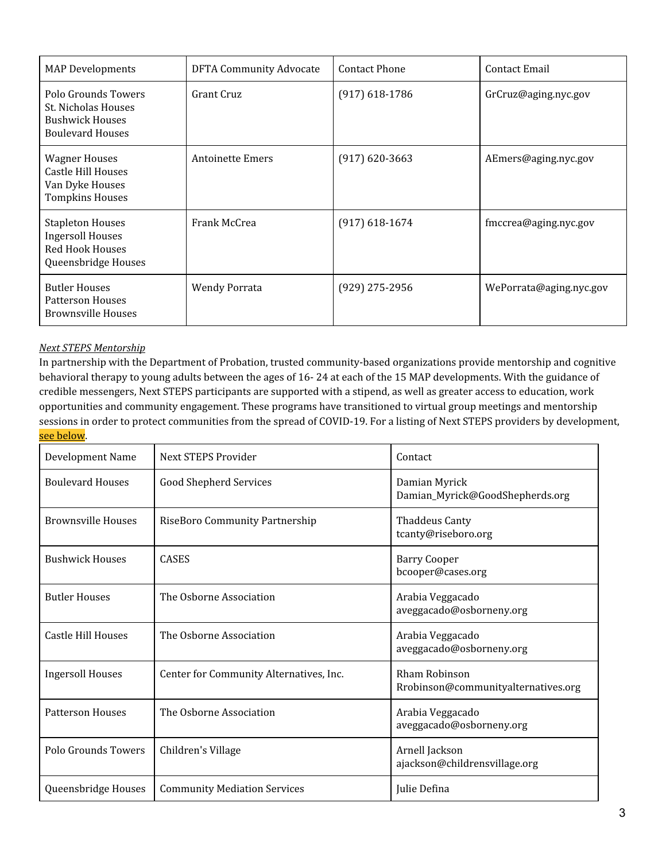| <b>MAP</b> Developments                                                                             | <b>DFTA Community Advocate</b> | <b>Contact Phone</b> | Contact Email           |
|-----------------------------------------------------------------------------------------------------|--------------------------------|----------------------|-------------------------|
| Polo Grounds Towers<br>St. Nicholas Houses<br><b>Bushwick Houses</b><br><b>Boulevard Houses</b>     | Grant Cruz                     | $(917)$ 618-1786     | GrCruz@aging.nyc.gov    |
| <b>Wagner Houses</b><br>Castle Hill Houses<br>Van Dyke Houses<br><b>Tompkins Houses</b>             | <b>Antoinette Emers</b>        | $(917)$ 620-3663     | AEmers@aging.nyc.gov    |
| <b>Stapleton Houses</b><br><b>Ingersoll Houses</b><br><b>Red Hook Houses</b><br>Queensbridge Houses | Frank McCrea                   | $(917) 618 - 1674$   | fmccrea@aging.nyc.gov   |
| <b>Butler Houses</b><br><b>Patterson Houses</b><br><b>Brownsville Houses</b>                        | <b>Wendy Porrata</b>           | (929) 275-2956       | WePorrata@aging.nyc.gov |

#### *Next STEPS Mentorship*

In partnership with the Department of Probation, trusted community-based organizations provide mentorship and cognitive behavioral therapy to young adults between the ages of 16- 24 at each of the 15 MAP developments. With the guidance of credible messengers, Next STEPS participants are supported with a stipend, as well as greater access to education, work opportunities and community engagement. These programs have transitioned to virtual group meetings and mentorship sessions in order to protect communities from the spread of COVID-19. For a listing of Next STEPS providers by development, see below.

| Development Name          | Next STEPS Provider                     | Contact                                              |
|---------------------------|-----------------------------------------|------------------------------------------------------|
| <b>Boulevard Houses</b>   | <b>Good Shepherd Services</b>           | Damian Myrick<br>Damian_Myrick@GoodShepherds.org     |
| <b>Brownsville Houses</b> | RiseBoro Community Partnership          | <b>Thaddeus Canty</b><br>tcanty@riseboro.org         |
| <b>Bushwick Houses</b>    | <b>CASES</b>                            | <b>Barry Cooper</b><br>bcooper@cases.org             |
| <b>Butler Houses</b>      | The Osborne Association                 | Arabia Veggacado<br>aveggacado@osborneny.org         |
| Castle Hill Houses        | The Osborne Association                 | Arabia Veggacado<br>aveggacado@osborneny.org         |
| <b>Ingersoll Houses</b>   | Center for Community Alternatives, Inc. | Rham Robinson<br>Rrobinson@communityalternatives.org |
| <b>Patterson Houses</b>   | The Osborne Association                 | Arabia Veggacado<br>aveggacado@osborneny.org         |
| Polo Grounds Towers       | Children's Village                      | Arnell Jackson<br>ajackson@childrensvillage.org      |
| Queensbridge Houses       | <b>Community Mediation Services</b>     | Julie Defina                                         |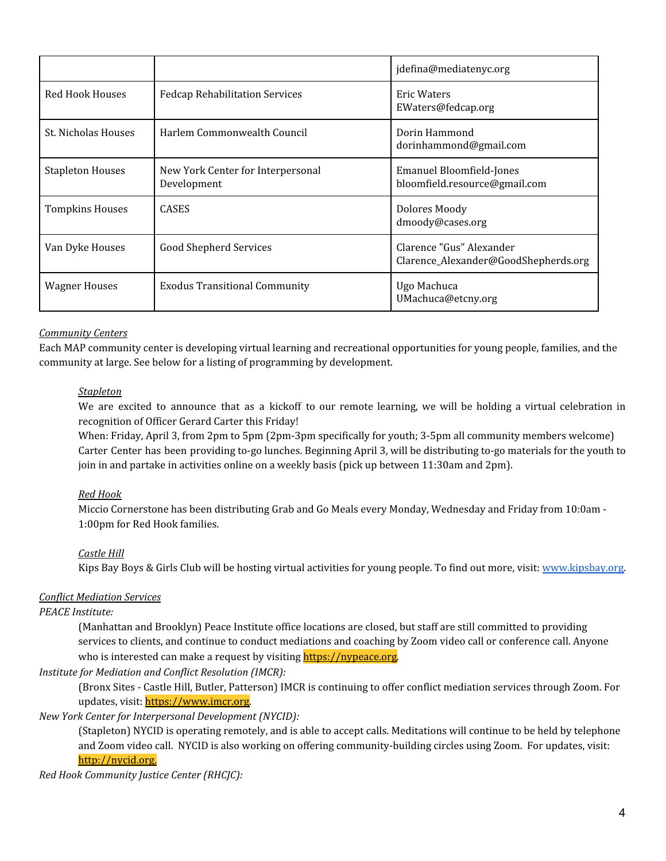|                         |                                                  | jdefina@mediatenyc.org                                           |
|-------------------------|--------------------------------------------------|------------------------------------------------------------------|
| <b>Red Hook Houses</b>  | <b>Fedcap Rehabilitation Services</b>            | Eric Waters<br>EWaters@fedcap.org                                |
| St. Nicholas Houses     | Harlem Commonwealth Council                      | Dorin Hammond<br>dorinhammond@gmail.com                          |
| <b>Stapleton Houses</b> | New York Center for Interpersonal<br>Development | <b>Emanuel Bloomfield-Jones</b><br>bloomfield.resource@gmail.com |
| <b>Tompkins Houses</b>  | <b>CASES</b>                                     | Dolores Moody<br>dmoody@cases.org                                |
| Van Dyke Houses         | <b>Good Shepherd Services</b>                    | Clarence "Gus" Alexander<br>Clarence_Alexander@GoodShepherds.org |
| <b>Wagner Houses</b>    | <b>Exodus Transitional Community</b>             | Ugo Machuca<br>UMachuca@etcny.org                                |

### *Community Centers*

Each MAP community center is developing virtual learning and recreational opportunities for young people, families, and the community at large. See below for a listing of programming by development.

### *Stapleton*

We are excited to announce that as a kickoff to our remote learning, we will be holding a virtual celebration in recognition of Officer Gerard Carter this Friday!

When: Friday, April 3, from 2pm to 5pm (2pm-3pm specifically for youth; 3-5pm all community members welcome) Carter Center has been providing to-go lunches. Beginning April 3, will be distributing to-go materials for the youth to join in and partake in activities online on a weekly basis (pick up between 11:30am and 2pm).

# *Red Hook*

Miccio Cornerstone has been distributing Grab and Go Meals every Monday, Wednesday and Friday from 10:0am - 1:00pm for Red Hook families.

# *Castle Hill*

Kips Bay Boys & Girls Club will be hosting virtual activities for young people. To find out more, visit: [www.kipsbay.org.](https://cityhallmail.nyc.gov/OWA/redir.aspx?C=ghXeYEwFleKsP26fNI1ulDRl8uQnEZqgldQ-VkSZHqDwPew2h93XCA..&URL=http%3a%2f%2fwww.kipsbay.org)

### *Conflict Mediation Services*

### *PEACE Institute:*

(Manhattan and Brooklyn) Peace Institute office locations are closed, but staff are still committed to providing services to clients, and continue to conduct mediations and coaching by Zoom video call or conference call. Anyone who is interested can make a request by visiting [https://nypeace.org](https://nypeace.org/)*.*

### *Institute for Mediation and Conflict Resolution (IMCR):*

(Bronx Sites - Castle Hill, Butler, Patterson) IMCR is continuing to offer conflict mediation services through Zoom. For updates, visit: [https://www.imcr.org.](https://www.imcr.org/)

### *New York Center for Interpersonal Development (NYCID):*

(Stapleton) NYCID is operating remotely, and is able to accept calls. Meditations will continue to be held by telephone and Zoom video call. NYCID is also working on offering community-building circles using Zoom. For updates, visit: [http://nycid.org](http://nycid.org/).

### *Red Hook Community Justice Center (RHCJC):*